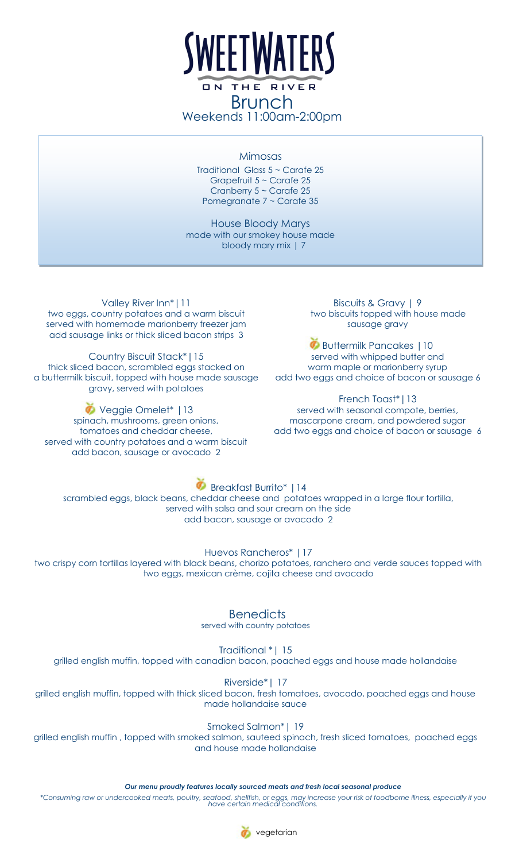

Brunch Weekends 11:00am-2:00pm

#### Mimosas

Traditional Glass 5 ~ Carafe 25 Grapefruit 5 ~ Carafe 25 Cranberry 5 ~ Carafe 25 Pomegranate 7 ~ Carafe 35

House Bloody Marys made with our smokey house made bloody mary mix | 7

Valley River Inn\*|11 two eggs, country potatoes and a warm biscuit served with homemade marionberry freezer jam add sausage links or thick sliced bacon strips 3

Country Biscuit Stack\*|15 thick sliced bacon, scrambled eggs stacked on a buttermilk biscuit, topped with house made sausage gravy, served with potatoes

Veggie Omelet\* |13 spinach, mushrooms, green onions, tomatoes and cheddar cheese, served with country potatoes and a warm biscuit add bacon, sausage or avocado 2

Biscuits & Gravy | 9 two biscuits topped with house made sausage gravy

**Buttermilk Pancakes | 10** served with whipped butter and warm maple or marionberry syrup add two eggs and choice of bacon or sausage 6

#### French Toast\*|13

served with seasonal compote, berries, mascarpone cream, and powdered sugar add two eggs and choice of bacon or sausage 6

## **Breakfast Burrito\* | 14**

scrambled eggs, black beans, cheddar cheese and potatoes wrapped in a large flour tortilla, served with salsa and sour cream on the side add bacon, sausage or avocado 2

Huevos Rancheros\* |17

two crispy corn tortillas layered with black beans, chorizo potatoes, ranchero and verde sauces topped with two eggs, mexican crème, cojita cheese and avocado

### **Benedicts**

served with country potatoes

Traditional \*| 15

grilled english muffin, topped with canadian bacon, poached eggs and house made hollandaise

Riverside\*| 17

grilled english muffin, topped with thick sliced bacon, fresh tomatoes, avocado, poached eggs and house made hollandaise sauce

Smoked Salmon\*| 19

grilled english muffin , topped with smoked salmon, sauteed spinach, fresh sliced tomatoes, poached eggs and house made hollandaise

*Our menu proudly features locally sourced meats and fresh local seasonal produce*

*\*Consuming raw or undercooked meats, poultry, seafood, shellfish, or eggs, may increase your risk of foodborne illness, especially if you have certain medical conditions.*



vegetarian